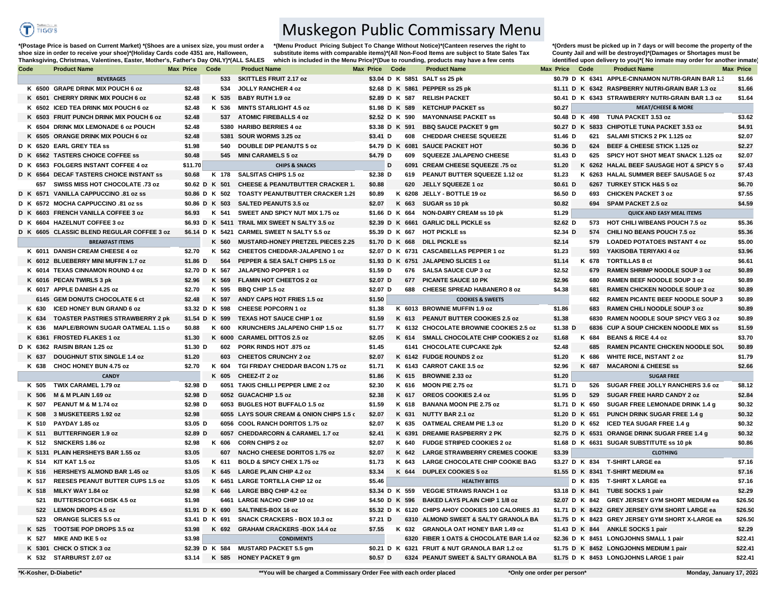

## Muskegon Public Commissary Menu

**\*(Postage Price is based on Current Market) \*(Shoes are a unisex size, you must order a shoe size in order to receive your shoe)\*(Holiday Cards code 4351 are, Halloween, Thanksgiving, Christmas, Valentines, Easter, Mother's, Father's Day ONLY)\*(ALL SALES** 

**\*(Menu Product Pricing Subject To Change Without Notice)\*(Canteen reserves the right to substitute items with comparable items)\*(All Non-Food Items are subject to State Sales Tax which is included in the Menu Price)\*(Due to rounding, products may have a few cents** 

**\*(Orders must be picked up in 7 days or will become the property of the County Jail and will be destroyed)\*(Damages or Shortages must be**  identified upon delivery to you)\*(No inmate may order for another inmate)

| Code |        | <b>Product Name</b>                        | Max Price | Code            | <b>Product Name</b>                         | Max Price Code |   |                 | <b>Product Name</b>                                 | <b>Max Price</b> | Code           | <b>Product Name</b>                                | <b>Max Price</b> |
|------|--------|--------------------------------------------|-----------|-----------------|---------------------------------------------|----------------|---|-----------------|-----------------------------------------------------|------------------|----------------|----------------------------------------------------|------------------|
|      |        | <b>BEVERAGES</b>                           |           | 533             | <b>SKITTLES FRUIT 2.17 oz</b>               |                |   |                 | \$3.04 D K 5851 SALT ss 25 pk                       |                  |                | \$0.79 D K 6341 APPLE-CINNAMON NUTRI-GRAIN BAR 1.3 | \$1.66           |
|      |        | K 6500 GRAPE DRINK MIX POUCH 6 oz          | \$2.48    | 534             | <b>JOLLY RANCHER 4 oz</b>                   |                |   | \$2.68 D K 5861 | PEPPER ss 25 pk                                     |                  |                | \$1.11 D K 6342 RASPBERRY NUTRI-GRAIN BAR 1.3 oz   | \$1.66           |
|      |        | K 6501 CHERRY DRINK MIX POUCH 6 oz         | \$2.48    | K 535           | <b>BABY RUTH 1.9 oz</b>                     |                |   | \$2.89 D K 587  | <b>RELISH PACKET</b>                                |                  |                | \$0.41 D K 6343 STRAWBERRY NUTRI-GRAIN BAR 1.3 oz  | \$1.64           |
|      |        | K 6502 ICED TEA DRINK MIX POUCH 6 oz       | \$2.48    | K 536           | <b>MINTS STARLIGHT 4.5 oz</b>               | \$1.98 D K 589 |   |                 | <b>KETCHUP PACKET SS</b>                            | \$0.27           |                | <b>MEAT/CHEESE &amp; MORE</b>                      |                  |
|      |        | K 6503 FRUIT PUNCH DRINK MIX POUCH 6 oz    | \$2.48    | 537             | <b>ATOMIC FIREBALLS 4 oz</b>                | \$2.52 D K 590 |   |                 | <b>MAYONNAISE PACKET SS</b>                         |                  |                | \$0.48 D K 498 TUNA PACKET 3.53 oz                 | \$3.62           |
|      |        | K 6504 DRINK MIX LEMONADE 6 oz POUCH       | \$2.48    |                 | 5380 HARIBO BERRIES 4 oz                    | \$3.38 D K 591 |   |                 | <b>BBQ SAUCE PACKET 9 gm</b>                        |                  |                | \$0.27 D K 5833 CHIPOTLE TUNA PACKET 3.53 oz       | \$4.91           |
|      |        | K 6505 ORANGE DRINK MIX POUCH 6 oz         | \$2.48    |                 | 5381 SOUR WORMS 3.25 oz                     | $$3.41$ D      |   | 608             | <b>CHEDDAR CHEESE SQUEEZE</b>                       | $$1.46$ D        | 621            | SALAMI STICKS 2 PK 1.125 oz                        | \$2.07           |
|      |        | D K 6520 EARL GREY TEA ss                  | \$1.98    | 540             | <b>DOUBLE DIP PEANUTS 5 oz</b>              | \$4.79 D K     |   | 6081            | <b>SAUCE PACKET HOT</b>                             | $$0.36$ D        | 624            | BEEF & CHEESE STICK 1.125 oz                       | \$2.27           |
|      |        | D K 6562 TASTERS CHOICE COFFEE SS          | \$0.48    | 545             | <b>MINI CARAMELS 5 oz</b>                   | \$4.79 D       |   | 609             | <b>SQUEEZE JALAPENO CHEESE</b>                      | $$1.43$ D        | 625            | SPICY HOT SHOT MEAT SNACK 1.125 oz                 | \$2.07           |
|      |        | D K 6563 FOLGERS INSTANT COFFEE 4 oz       | \$11.70   |                 | <b>CHIPS &amp; SNACKS</b>                   |                | D | 6091            | <b>CREAM CHEESE SQUEEZE .75 oz</b>                  | \$1.20           |                | K 6262 HALAL BEEF SAUSAGE HOT & SPICY 5 o          | \$7.43           |
|      |        | D K 6564 DECAF TASTERS CHOICE INSTANT SS   | \$0.68    | K 178           | <b>SALSITAS CHIPS 1.5 oz</b>                | $$2.38$ D      |   | 619             | PEANUT BUTTER SQUEEZE 1.12 oz                       | \$1.23           |                | K 6263 HALAL SUMMER BEEF SAUSAGE 5 oz              | \$7.43           |
|      | 657    | SWISS MISS HOT CHOCOLATE .73 oz            |           | \$0.62 D K 501  | <b>CHEESE &amp; PEANUTBUTTER CRACKER 1.</b> | \$0.88         |   | 620             | JELLY SQUEEZE 1 oz                                  | $$0.61$ D        |                | 6267 TURKEY STICK H&S 5 oz                         | \$6.70           |
|      |        | D K 6571 VANILLA CAPPUCCINO .81 oz ss      |           | \$0.86 D K 502  | <b>TOASTY PEANUTBUTTER CRACKER 1.29</b>     | \$0.89         |   |                 | K 6208 JELLY - BOTTLE 19 oz                         | \$6.50 D         | 693            | <b>CHICKEN PACKET 3 oz</b>                         | \$7.55           |
|      |        | D K 6572 MOCHA CAPPUCCINO .81 oz ss        |           | \$0.86 D K 503  | <b>SALTED PEANUTS 3.5 oz</b>                | \$2.07         |   | K 663           | SUGAR ss 10 pk                                      | \$0.82           |                | 694 SPAM PACKET 2.5 oz                             | \$4.59           |
|      |        | D K 6603 FRENCH VANILLA COFFEE 3 oz        | \$6.93    | K 541           | SWEET AND SPICY NUT MIX 1.75 oz             | \$1.66 D K 664 |   |                 | <b>NON-DAIRY CREAM ss 10 pk</b>                     | \$1.29           |                | <b>QUICK AND EASY MEAL ITEMS</b>                   |                  |
|      |        | D K 6604 HAZELNUT COFFEE 3 oz              |           | \$6.93 D K 5411 | TRAIL MIX SWEET N SALTY 3.5 oz              |                |   | \$2.39 D K 6661 | <b>GARLIC DILL PICKLE SS</b>                        | $$2.62$ D        | 573            | <b>HOT CHILI W/BEANS POUCH 7.5 oz</b>              | \$5.36           |
|      |        | D K 6605 CLASSIC BLEND REGULAR COFFEE 3 oz |           | \$6.14 D K 5421 | <b>CARMEL SWEET N SALTY 5.5 oz</b>          |                |   | \$5.39 D K 667  | <b>HOT PICKLE ss</b>                                | $$2.34$ D        | 574            | CHILI NO BEANS POUCH 7.5 oz                        | \$5.36           |
|      |        | <b>BREAKFAST ITEMS</b>                     |           | K 560           | <b>MUSTARD-HONEY PRETZEL PIECES 2.25</b>    |                |   | \$1.70 D K 668  | <b>DILL PICKLE SS</b>                               | \$2.14           | 579            | <b>LOADED POTATOES INSTANT 4 oz</b>                | \$5.00           |
|      |        | K 6011 DANISH CREAM CHEESE 4 oz            | \$2.70    | K 562           | <b>CHEETOS CHEDDAR-JALAPENO 1 oz</b>        |                |   |                 | \$2.07 D K 6731 CASCABELLAS PEPPER 1 oz             | \$1.23           | 593            | YAKISOBA TERIYAKI 4 oz                             | \$3.96           |
|      |        | K 6012 BLUEBERRY MINI MUFFIN 1.7 oz        | \$1.86 D  | 564             | PEPPER & SEA SALT CHIPS 1.5 oz              |                |   |                 | \$1.93 D K 6751 JALAPENO SLICES 1 oz                | \$1.14           | K 678          | <b>TORTILLAS 8 ct</b>                              | \$6.61           |
|      |        | K 6014 TEXAS CINNAMON ROUND 4 oz           |           | \$2.70 D K 567  | JALAPENO POPPER 1 oz                        | \$1.59 D       |   | 676             | <b>SALSA SAUCE CUP 3 oz</b>                         | \$2.52           | 679            | <b>RAMEN SHRIMP NOODLE SOUP 3 oz</b>               | \$0.89           |
|      |        | K 6016 PECAN TWIRLS 3 pk                   | \$2.96    | K 569           | <b>FLAMIN HOT CHEETOS 2 oz</b>              | \$2.07 D       |   | 677             | PICANTE SAUCE 10 PK                                 | \$2.96           | 680            | <b>RAMEN BEEF NOODLE SOUP 3 oz</b>                 | \$0.89           |
|      |        | K 6017 APPLE DANISH 4.25 oz                | \$2.70    | K 595           | BBQ CHIP 1.5 oz                             | \$2.07 D       |   | 688             | <b>CHEESE SPREAD HABANERO 8 oz</b>                  | \$4.38           | 681            | <b>RAMEN CHICKEN NOODLE SOUP 3 oz</b>              | \$0.89           |
|      |        | 6145 GEM DONUTS CHOCOLATE 6 ct             | \$2.48    | K 597           | ANDY CAPS HOT FRIES 1.5 oz                  | \$1.50         |   |                 | <b>COOKIES &amp; SWEETS</b>                         |                  | 682            | <b>RAMEN PICANTE BEEF NOODLE SOUP 3</b>            | \$0.89           |
|      | K 630  | <b>ICED HONEY BUN GRAND 6 oz</b>           |           | \$3.32 D K 598  | <b>CHEESE POPCORN 1 oz</b>                  | \$1.38         |   |                 | K 6013 BROWNIE MUFFIN 1.9 oz                        | \$1.86           | 683            | RAMEN CHILI NOODLE SOUP 3 oz                       | \$0.89           |
|      | K 634  | <b>TOASTER PASTRIES STRAWBERRY 2 pk</b>    |           | \$1.54 D K 599  | TEXAS HOT SAUCE CHIP 1 oz                   | \$1.59         |   | K 613           | PEANUT BUTTER COOKIES 2.5 oz                        | \$1.38           |                | 6830 RAMEN NOODLE SOUP SPICY VEG 3 oz              | \$0.89           |
|      | K 636  | <b>MAPLE/BROWN SUGAR OATMEAL 1.15 o</b>    | \$0.88    | K 600           | <b>KRUNCHERS JALAPENO CHIP 1.5 oz</b>       | \$1.77         |   |                 | K 6132 CHOCOLATE BROWNIE COOKIES 2.5 oz             | \$1.38 D         |                | 6836 CUP A SOUP CHICKEN NOODLE MIX SS              | \$1.59           |
|      |        | K 6361 FROSTED FLAKES 1 oz                 | \$1.30    |                 | K 6000 CARAMEL DITTOS 2.5 oz                | \$2.05         |   | K 614           | SMALL CHOCOLATE CHIP COOKIES 2 oz                   | \$1.68           | K 684          | <b>BEANS &amp; RICE 4.4 oz</b>                     | \$3.70           |
|      |        | D K 6362 RAISIN BRAN 1.25 oz               | \$1.30 D  | 602             | PORK RINDS HOT .875 oz                      | \$1.45         |   |                 | 6141 CHOCOLATE CUPCAKE 2pk                          | \$2.48           | 685            | RAMEN PICANTE CHICKEN NOODLE SOL                   | \$0.89           |
|      | K 637  | <b>DOUGHNUT STIX SINGLE 1.4 oz</b>         | \$1.20    | 603             | <b>CHEETOS CRUNCHY 2 oz</b>                 | \$2.07         |   |                 | K 6142 FUDGE ROUNDS 2 oz                            | \$1.20           | K 686          | <b>WHITE RICE, INSTANT 2 oz</b>                    | \$1.79           |
|      | K 638  | CHOC HONEY BUN 4.75 oz                     | \$2.70    | K 604           | TGI FRIDAY CHEDDAR BACON 1.75 oz            | \$1.71         |   |                 | K 6143 CARROT CAKE 3.5 oz                           | \$2.96           | K 687          | <b>MACARONI &amp; CHEESE ss</b>                    | \$2.66           |
|      |        | <b>CANDY</b>                               |           | K 605           | CHEEZ-IT 2 oz                               | \$1.86         |   | K 615           | <b>BROWNIE 2.33 oz</b>                              | \$1.20           |                | <b>SUGAR FREE</b>                                  |                  |
|      | K 505  | TWIX CARAMEL 1.79 oz                       | \$2.98 D  |                 | 6051 TAKIS CHILLI PEPPER LIME 2 oz          | \$2.30         |   | K 616           | MOON PIE 2.75 oz                                    | $$1.71$ D        | 526            | SUGAR FREE JOLLY RANCHERS 3.6 oz                   | \$8.12           |
|      | K 506  | M & M PLAIN 1.69 oz                        | \$2.98 D  |                 | 6052 GUACACHIP 1.5 oz                       | \$2.38         |   | K 617           | OREOS COOKIES 2.4 oz                                | $$1.95$ D        | 529            | <b>SUGAR FREE HARD CANDY 2 oz</b>                  | \$2.84           |
|      | K 507  | PEANUT M & M 1.74 oz                       | $$2.98$ D |                 | 6053 BUGLES HOT BUFFALO 1.5 oz              | \$1.59         |   | K 618           | <b>BANANA MOON PIE 2.75 oz</b>                      |                  | \$1.71 D K 650 | SUGAR FREE LEMONADE DRINK 1.4 g                    | \$0.32           |
|      | K 508  | 3 MUSKETEERS 1.92 oz                       | \$2.98    |                 | 6055 LAYS SOUR CREAM & ONION CHIPS 1.5 c    | \$2.07         |   | K 631           | <b>NUTTY BAR 2.1 oz</b>                             |                  | \$1.20 D K 651 | PUNCH DRINK SUGAR FREE 1.4 g                       | \$0.32           |
|      | K 510  | PAYDAY 1.85 oz                             | $$3.05$ D |                 | 6056 COOL RANCH DORITOS 1.75 oz             | \$2.07         |   | K 635           | <b>OATMEAL CREAM PIE 1.3 oz</b>                     |                  |                | \$1.20 D K 652 ICED TEA SUGAR FREE 1.4 g           | \$0.32           |
|      | K 511  | <b>BUTTERFINGER 1.9 oz</b>                 | \$2.89 D  | 6057            | <b>CHEDDARCORN &amp; CARAMEL 1.7 oz</b>     | \$2.41         |   | K 6391          | <b>DREAMIE RASPBERRY 2 PK</b>                       |                  |                | \$2.75 D K 6531 ORANGE DRINK SUGAR FREE 1.4 g      | \$0.32           |
|      | K 512  | SNICKERS 1.86 oz                           | \$2.98    | K 606           | <b>CORN CHIPS 2 oz</b>                      | \$2.07         |   | K 640           | <b>FUDGE STRIPED COOKIES 2 oz</b>                   |                  |                | \$1.68 D K 6631 SUGAR SUBSTITUTE ss 10 pk          | \$0.86           |
|      | K 5131 | PLAIN HERSHEYS BAR 1.55 oz                 | \$3.05    | 607             | NACHO CHEESE DORITOS 1.75 oz                | \$2.07         |   | K 642           | <b>LARGE STRAWBERRY CREMES COOKIE</b>               | \$3.39           |                | <b>CLOTHING</b>                                    |                  |
|      | K 514  | KIT KAT 1.5 oz                             | \$3.05    | K 611           | BOLD & SPICY CHEX 1.75 oz                   | \$1.73         |   | K 643           | <b>LARGE CHOCOLATE CHIP COOKIE BAG</b>              |                  |                | \$3.27 D K 834 T-SHIRT LARGE ea                    | \$7.16           |
|      | K 516  | <b>HERSHEYS ALMOND BAR 1.45 oz</b>         | \$3.05    | K 645           | <b>LARGE PLAIN CHIP 4.2 oz</b>              | \$3.34         |   | K 644           | <b>DUPLEX COOKIES 5 oz</b>                          |                  |                | \$1.55 D K 8341 T-SHIRT MEDIUM ea                  | \$7.16           |
|      | K 517  | REESES PEANUT BUTTER CUPS 1.5 oz           | \$3.05    |                 | K 6451 LARGE TORTILLA CHIP 12 oz            | \$5.46         |   |                 | <b>HEALTHY BITES</b>                                |                  |                | D K 835 T-SHIRT X LARGE ea                         | \$7.16           |
|      | K 518  | MILKY WAY 1.84 oz                          | \$2.98    |                 | K 646 LARGE BBQ CHIP 4.2 oz                 |                |   | \$3.34 D K 559  | <b>VEGGIE STRAWS RANCH 1 oz</b>                     |                  |                | \$3.18 D K 841 TUBE SOCKS 1 pair                   | \$2.29           |
|      | 521    | <b>BUTTERSCOTCH DISK 4.5 oz</b>            | \$1.98    | 6461            | <b>LARGE NACHO CHIP 10 oz</b>               | \$4.50 D K     |   | 596             | <b>BAKED LAYS PLAIN CHIP 1 1/8 oz</b>               |                  |                | \$2.07 D K 842 GREY JERSEY GYM SHORT MEDIUM ea     | \$26.50          |
|      | 522    | <b>LEMON DROPS 4.5 oz</b>                  |           | \$1.91 D K 690  | SALTINES-BOX 16 oz                          |                |   |                 | \$5.32 D K 6120 CHIPS AHOY COOKIES 100 CALORIES .81 |                  |                | \$1.71 D K 8422 GREY JERSEY GYM SHORT LARGE ea     | \$26.50          |
|      | 523    | ORANGE SLICES 5.5 oz                       |           | \$3.41 D K 691  | SNACK CRACKERS - BOX 10.3 oz                | \$7.21 D       |   | 6310            | ALMOND SWEET & SALTY GRANOLA BA                     |                  |                | \$1.75 D K 8423 GREY JERSEY GYM SHORT X-LARGE ea   | \$26.50          |
|      | K 525  | TOOTSIE POP DROPS 3.5 oz                   | \$3.98    | K 692           | <b>GRAHAM CRACKERS - BOX 14.4 oz</b>        | \$7.55         |   | K 632           | <b>GRANOLA OAT HONEY BAR 1.49 oz</b>                |                  |                | \$1.43 D K 844 ANKLE SOCKS 1 pair                  | \$2.29           |
|      | K 527  | MIKE AND IKE 5 oz                          | \$3.98    |                 | <b>CONDIMENTS</b>                           |                |   |                 | 6320 FIBER 1 OATS & CHOCOLATE BAR 1.4 oz            |                  |                | \$2.36 D K 8451 LONGJOHNS SMALL 1 pair             | \$22.41          |
|      |        | K 5301 CHICK O STICK 3 oz                  |           | \$2.39 D K 584  | <b>MUSTARD PACKET 5.5 gm</b>                |                |   |                 | \$0.21 D K 6321 FRUIT & NUT GRANOLA BAR 1.2 oz      |                  |                | \$1.75 D K 8452 LONGJOHNS MEDIUM 1 pair            | \$22.41          |
|      |        | K 532 STARBURST 2.07 oz                    | \$3.14    |                 | K 585 HONEY PACKET 9 gm                     | \$0.57 D       |   |                 | 6324 PEANUT SWEET & SALTY GRANOLA BA                |                  |                | \$1.75 D K 8453 LONGJOHNS LARGE 1 pair             | \$22.41          |
|      |        |                                            |           |                 |                                             |                |   |                 |                                                     |                  |                |                                                    |                  |